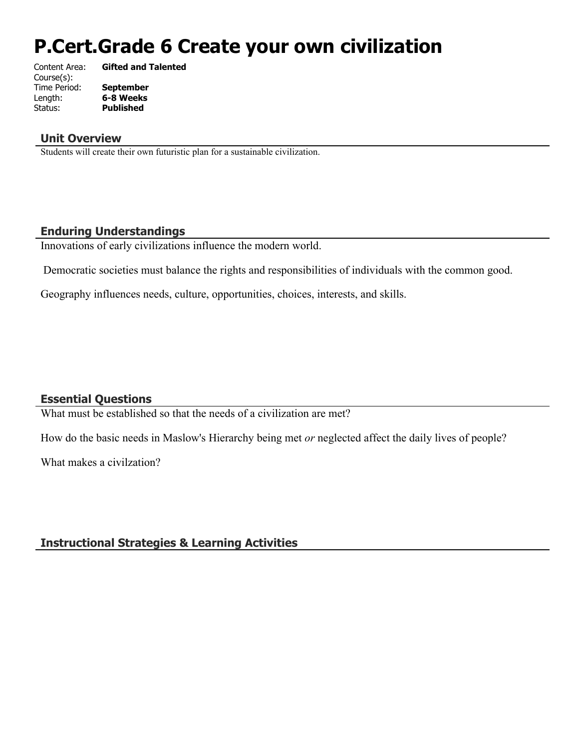# **P.Cert.Grade 6 Create your own civilization**

| Content Area: | <b>Gifted and Talented</b> |
|---------------|----------------------------|
| Course(s):    |                            |
| Time Period:  | <b>September</b>           |
| Length:       | 6-8 Weeks                  |
| Status:       | <b>Published</b>           |
|               |                            |

#### **Unit Overview**

Students will create their own futuristic plan for a sustainable civilization.

## **Enduring Understandings**

Innovations of early civilizations influence the modern world.

Democratic societies must balance the rights and responsibilities of individuals with the common good.

Geography influences needs, culture, opportunities, choices, interests, and skills.

## **Essential Questions**

What must be established so that the needs of a civilization are met?

How do the basic needs in Maslow's Hierarchy being met *or* neglected affect the daily lives of people?

What makes a civilzation?

## **Instructional Strategies & Learning Activities**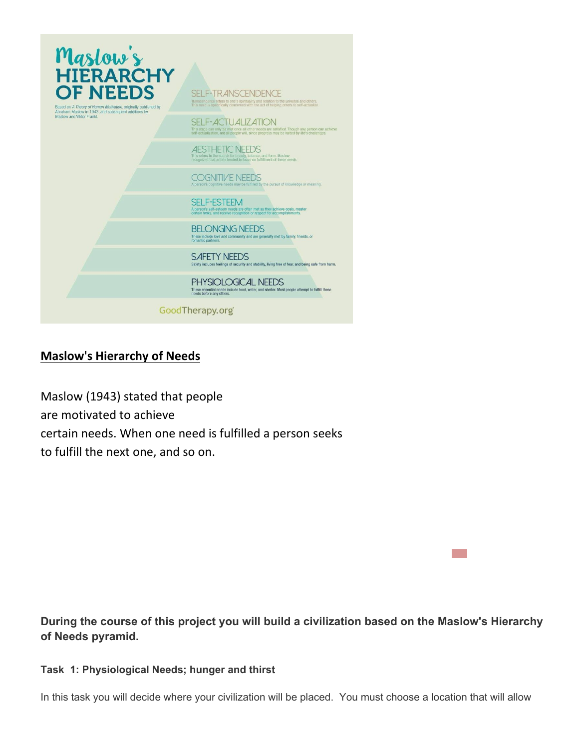

## **Maslow's Hierarchy of Needs**

Maslow (1943) stated that people are motivated to achieve certain needs. When one need is fulfilled a person seeks to fulfill the next one, and so on.

**During the course of this project you will build a civilization based on the Maslow's Hierarchy of Needs pyramid.** 

#### **Task 1: Physiological Needs; hunger and thirst**

In this task you will decide where your civilization will be placed. You must choose a location that will allow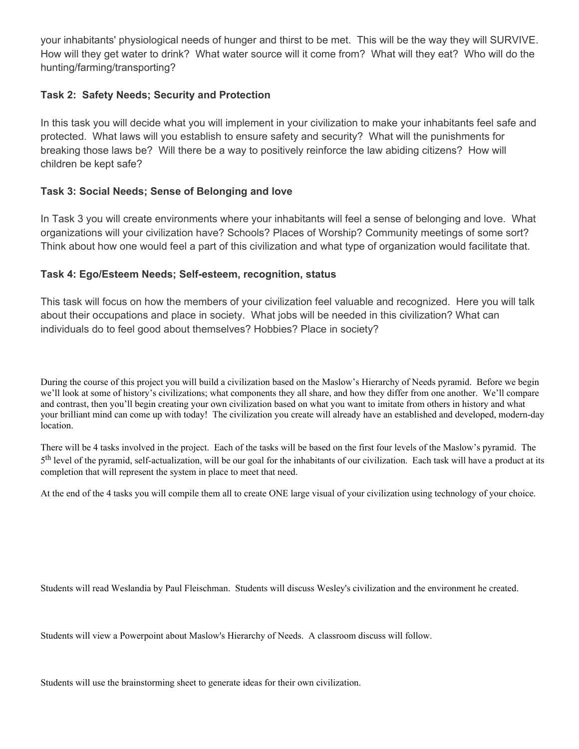your inhabitants' physiological needs of hunger and thirst to be met. This will be the way they will SURVIVE. How will they get water to drink? What water source will it come from? What will they eat? Who will do the hunting/farming/transporting?

#### **Task 2: Safety Needs; Security and Protection**

In this task you will decide what you will implement in your civilization to make your inhabitants feel safe and protected. What laws will you establish to ensure safety and security? What will the punishments for breaking those laws be? Will there be a way to positively reinforce the law abiding citizens? How will children be kept safe?

#### **Task 3: Social Needs; Sense of Belonging and love**

In Task 3 you will create environments where your inhabitants will feel a sense of belonging and love. What organizations will your civilization have? Schools? Places of Worship? Community meetings of some sort? Think about how one would feel a part of this civilization and what type of organization would facilitate that.

#### **Task 4: Ego/Esteem Needs; Self-esteem, recognition, status**

This task will focus on how the members of your civilization feel valuable and recognized. Here you will talk about their occupations and place in society. What jobs will be needed in this civilization? What can individuals do to feel good about themselves? Hobbies? Place in society?

During the course of this project you will build a civilization based on the Maslow's Hierarchy of Needs pyramid. Before we begin we'll look at some of history's civilizations; what components they all share, and how they differ from one another. We'll compare and contrast, then you'll begin creating your own civilization based on what you want to imitate from others in history and what your brilliant mind can come up with today! The civilization you create will already have an established and developed, modern-day location.

There will be 4 tasks involved in the project. Each of the tasks will be based on the first four levels of the Maslow's pyramid. The 5<sup>th</sup> level of the pyramid, self-actualization, will be our goal for the inhabitants of our civilization. Each task will have a product at its completion that will represent the system in place to meet that need.

At the end of the 4 tasks you will compile them all to create ONE large visual of your civilization using technology of your choice.

Students will read Weslandia by Paul Fleischman. Students will discuss Wesley's civilization and the environment he created.

Students will view a Powerpoint about Maslow's Hierarchy of Needs. A classroom discuss will follow.

Students will use the brainstorming sheet to generate ideas for their own civilization.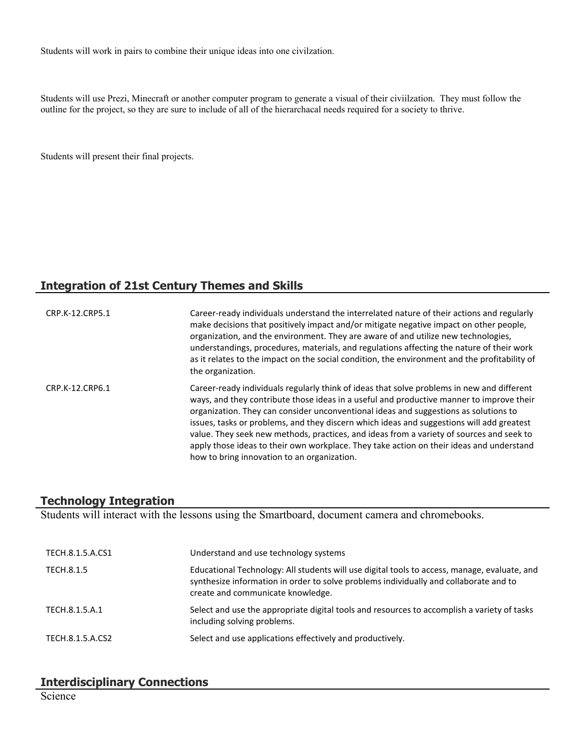Students will work in pairs to combine their unique ideas into one civilzation.

Students will use Prezi, Minecraft or another computer program to generate a visual of their civiilzation. They must follow the outline for the project, so they are sure to include of all of the hierarchacal needs required for a society to thrive.

Students will present their final projects.

## **Integration of 21st Century Themes and Skills**

| CRP.K-12.CRP5.1 | Career-ready individuals understand the interrelated nature of their actions and regularly<br>make decisions that positively impact and/or mitigate negative impact on other people,<br>organization, and the environment. They are aware of and utilize new technologies,<br>understandings, procedures, materials, and regulations affecting the nature of their work<br>as it relates to the impact on the social condition, the environment and the profitability of<br>the organization.                                                                                                                      |
|-----------------|--------------------------------------------------------------------------------------------------------------------------------------------------------------------------------------------------------------------------------------------------------------------------------------------------------------------------------------------------------------------------------------------------------------------------------------------------------------------------------------------------------------------------------------------------------------------------------------------------------------------|
| CRP.K-12.CRP6.1 | Career-ready individuals regularly think of ideas that solve problems in new and different<br>ways, and they contribute those ideas in a useful and productive manner to improve their<br>organization. They can consider unconventional ideas and suggestions as solutions to<br>issues, tasks or problems, and they discern which ideas and suggestions will add greatest<br>value. They seek new methods, practices, and ideas from a variety of sources and seek to<br>apply those ideas to their own workplace. They take action on their ideas and understand<br>how to bring innovation to an organization. |

## **Technology Integration**

Students will interact with the lessons using the Smartboard, document camera and chromebooks.

| TECH.8.1.5.A.CS1 | Understand and use technology systems                                                                                                                                                                                      |
|------------------|----------------------------------------------------------------------------------------------------------------------------------------------------------------------------------------------------------------------------|
| TECH.8.1.5       | Educational Technology: All students will use digital tools to access, manage, evaluate, and<br>synthesize information in order to solve problems individually and collaborate and to<br>create and communicate knowledge. |
| TECH.8.1.5.A.1   | Select and use the appropriate digital tools and resources to accomplish a variety of tasks<br>including solving problems.                                                                                                 |
| TECH.8.1.5.A.CS2 | Select and use applications effectively and productively.                                                                                                                                                                  |

# **Interdisciplinary Connections**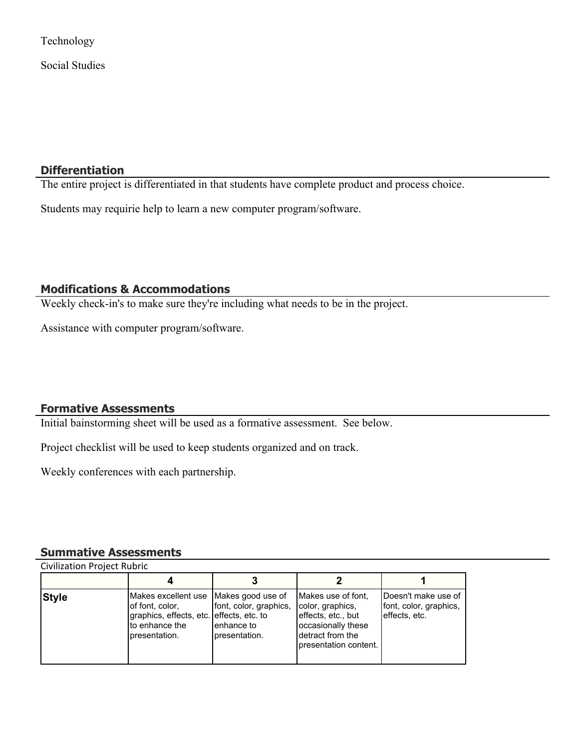Technology

Social Studies

## **Differentiation**

The entire project is differentiated in that students have complete product and process choice.

Students may requirie help to learn a new computer program/software.

## **Modifications & Accommodations**

Weekly check-in's to make sure they're including what needs to be in the project.

Assistance with computer program/software.

## **Formative Assessments**

Initial bainstorming sheet will be used as a formative assessment. See below.

Project checklist will be used to keep students organized and on track.

Weekly conferences with each partnership.

#### **Summative Assessments**

| <b>Style</b> | Makes excellent use   Makes good use of<br>of font, color,<br>graphics, effects, etc. effects, etc. to<br>Ito enhance the<br>bresentation. | font, color, graphics,<br>Ienhance to<br>presentation. | Makes use of font.<br>color, graphics,<br>effects, etc., but<br>occasionally these<br>Idetract from the<br>presentation content. | Doesn't make use of<br>font, color, graphics,<br>effects, etc. |
|--------------|--------------------------------------------------------------------------------------------------------------------------------------------|--------------------------------------------------------|----------------------------------------------------------------------------------------------------------------------------------|----------------------------------------------------------------|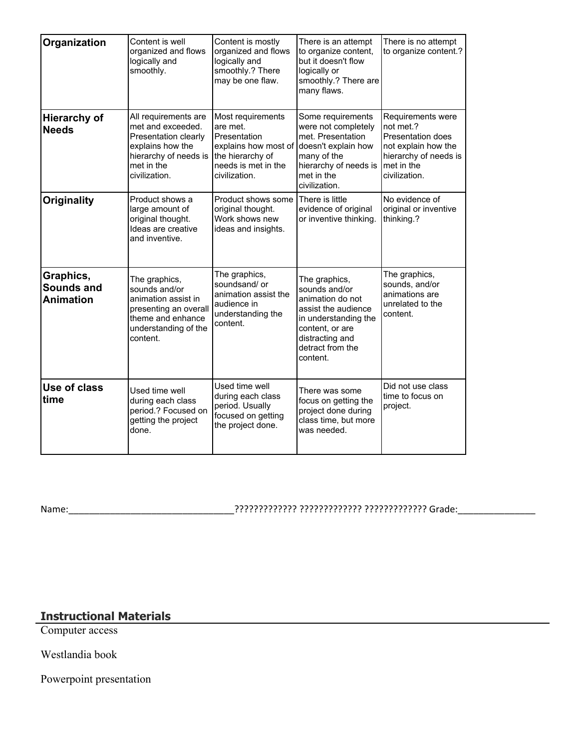| Organization                                       | Content is well<br>organized and flows<br>logically and<br>smoothly.                                                                          | Content is mostly<br>organized and flows<br>logically and<br>smoothly.? There<br>may be one flaw.                                 | There is an attempt<br>to organize content,<br>but it doesn't flow<br>logically or<br>smoothly.? There are<br>many flaws.                                               | There is no attempt<br>to organize content.?                                                                                       |
|----------------------------------------------------|-----------------------------------------------------------------------------------------------------------------------------------------------|-----------------------------------------------------------------------------------------------------------------------------------|-------------------------------------------------------------------------------------------------------------------------------------------------------------------------|------------------------------------------------------------------------------------------------------------------------------------|
| <b>Hierarchy of</b><br><b>Needs</b>                | All requirements are<br>met and exceeded.<br>Presentation clearly<br>explains how the<br>hierarchy of needs is<br>met in the<br>civilization. | Most requirements<br>are met.<br>Presentation<br>explains how most of<br>the hierarchy of<br>needs is met in the<br>civilization. | Some requirements<br>were not completely<br>met. Presentation<br>doesn't explain how<br>many of the<br>hierarchy of needs is<br>met in the<br>civilization.             | Requirements were<br>not met.?<br>Presentation does<br>not explain how the<br>hierarchy of needs is<br>met in the<br>civilization. |
| <b>Originality</b>                                 | Product shows a<br>large amount of<br>original thought.<br>Ideas are creative<br>and inventive.                                               | Product shows some<br>original thought.<br>Work shows new<br>ideas and insights.                                                  | There is little<br>evidence of original<br>or inventive thinking.                                                                                                       | No evidence of<br>original or inventive<br>thinking.?                                                                              |
| Graphics,<br><b>Sounds and</b><br><b>Animation</b> | The graphics,<br>sounds and/or<br>animation assist in<br>presenting an overall<br>theme and enhance<br>understanding of the<br>content.       | The graphics,<br>soundsand/ or<br>animation assist the<br>audience in<br>understanding the<br>content.                            | The graphics,<br>sounds and/or<br>animation do not<br>assist the audience<br>in understanding the<br>content, or are<br>distracting and<br>detract from the<br>content. | The graphics,<br>sounds, and/or<br>animations are<br>unrelated to the<br>content.                                                  |
| Use of class<br>time                               | Used time well<br>during each class<br>period.? Focused on<br>getting the project<br>done.                                                    | Used time well<br>during each class<br>period. Usually<br>focused on getting<br>the project done.                                 | There was some<br>focus on getting the<br>project done during<br>class time, but more<br>was needed.                                                                    | Did not use class<br>time to focus on<br>project.                                                                                  |

Name:\_\_\_\_\_\_\_\_\_\_\_\_\_\_\_\_\_\_\_\_\_\_\_\_\_\_\_\_\_\_\_\_????????????? ????????????? ????????????? Grade:\_\_\_\_\_\_\_\_\_\_\_\_\_\_\_

# **Instructional Materials**

Computer access

Westlandia book

Powerpoint presentation